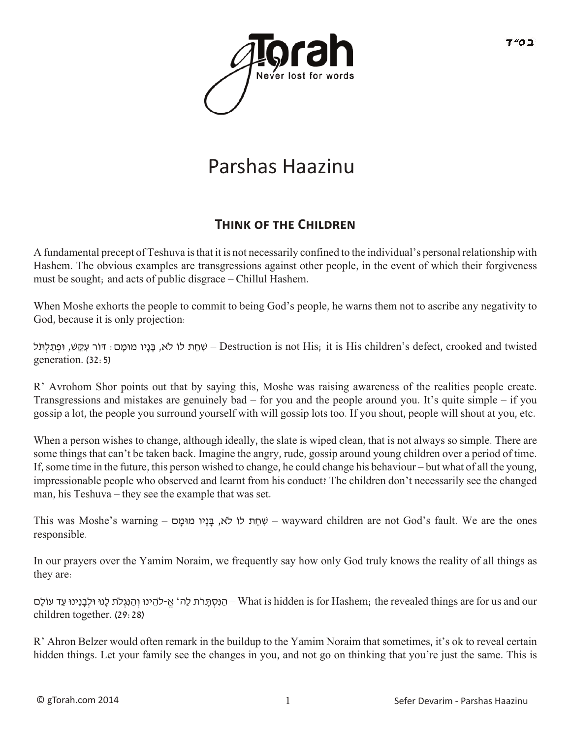

## Parshas Haazinu

## **THINK OF THE CHILDREN**

A fundamental precept of Teshuva is that it is not necessarily confined to the individual's personal relationship with Hashem. The obvious examples are transgressions against other people, in the event of which their forgiveness must be sought; and acts of public disgrace – Chillul Hashem.

When Moshe exhorts the people to commit to being God's people, he warns them not to ascribe any negativity to God, because it is only projection:

שְׁחֵת לוֹ לֹא, בָּנַיו מוּמַם: דוֹר עִקֶּשׁ, וּפִתֲלִתּל – Destruction is not His; it is His children's defect, crooked and twisted generation. (32:5)

R' Avrohom Shor points out that by saying this, Moshe was raising awareness of the realities people create. Transgressions and mistakes are genuinely bad – for you and the people around you. It's quite simple – if you gossip a lot, the people you surround yourself with will gossip lots too. If you shout, people will shout at you, etc.

When a person wishes to change, although ideally, the slate is wiped clean, that is not always so simple. There are some things that can't be taken back. Imagine the angry, rude, gossip around young children over a period of time. If, some time in the future, this person wished to change, he could change his behaviour – but what of all the young, impressionable people who observed and learnt from his conduct? The children don't necessarily see the changed man, his Teshuva – they see the example that was set.

This was Moshe's warning – ם ָומּמ יוָנ ָבּ ,א �ֹלו ת ֵח ִשׁ – wayward children are not God's fault. We are the ones responsible.

In our prayers over the Yamim Noraim, we frequently say how only God truly knows the reality of all things as they are:

הַנִּסְתָּרֹת לַה' אֱ-להֵינוּ וְהַנִּגְלֹת לָנוּ וּלִבָּנֵינוּ עַד עוֹלָם– What is hidden is for Hashem; the revealed things are for us and our children together. (29:28)

R' Ahron Belzer would often remark in the buildup to the Yamim Noraim that sometimes, it's ok to reveal certain hidden things. Let your family see the changes in you, and not go on thinking that you're just the same. This is